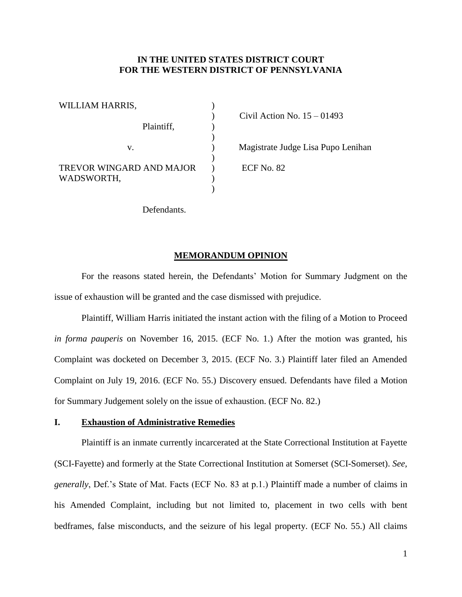## **IN THE UNITED STATES DISTRICT COURT FOR THE WESTERN DISTRICT OF PENNSYLVANIA**

| WILLIAM HARRIS,                               |  |
|-----------------------------------------------|--|
| Plaintiff,                                    |  |
| $V_{-}$                                       |  |
| <b>TREVOR WINGARD AND MAJOR</b><br>WADSWORTH, |  |

) Civil Action No. 15 – 01493

) Magistrate Judge Lisa Pupo Lenihan

) ECF No. 82

Defendants.

## **MEMORANDUM OPINION**

For the reasons stated herein, the Defendants' Motion for Summary Judgment on the issue of exhaustion will be granted and the case dismissed with prejudice.

Plaintiff, William Harris initiated the instant action with the filing of a Motion to Proceed *in forma pauperis* on November 16, 2015. (ECF No. 1.) After the motion was granted, his Complaint was docketed on December 3, 2015. (ECF No. 3.) Plaintiff later filed an Amended Complaint on July 19, 2016. (ECF No. 55.) Discovery ensued. Defendants have filed a Motion for Summary Judgement solely on the issue of exhaustion. (ECF No. 82.)

## **I. Exhaustion of Administrative Remedies**

Plaintiff is an inmate currently incarcerated at the State Correctional Institution at Fayette (SCI-Fayette) and formerly at the State Correctional Institution at Somerset (SCI-Somerset). *See, generally*, Def.'s State of Mat. Facts (ECF No. 83 at p.1.) Plaintiff made a number of claims in his Amended Complaint, including but not limited to, placement in two cells with bent bedframes, false misconducts, and the seizure of his legal property. (ECF No. 55.) All claims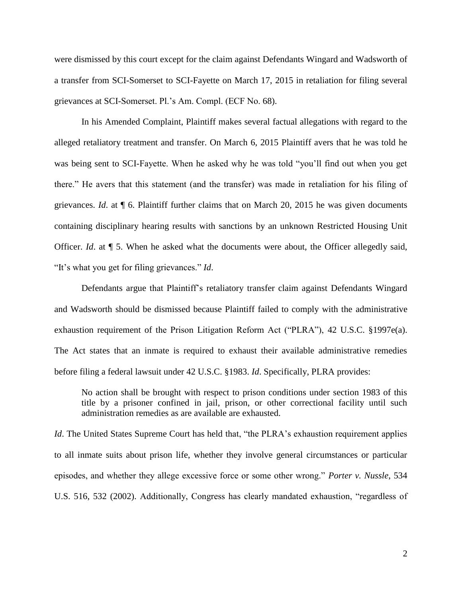were dismissed by this court except for the claim against Defendants Wingard and Wadsworth of a transfer from SCI-Somerset to SCI-Fayette on March 17, 2015 in retaliation for filing several grievances at SCI-Somerset. Pl.'s Am. Compl. (ECF No. 68).

In his Amended Complaint, Plaintiff makes several factual allegations with regard to the alleged retaliatory treatment and transfer. On March 6, 2015 Plaintiff avers that he was told he was being sent to SCI-Fayette. When he asked why he was told "you'll find out when you get there." He avers that this statement (and the transfer) was made in retaliation for his filing of grievances. *Id*. at ¶ 6. Plaintiff further claims that on March 20, 2015 he was given documents containing disciplinary hearing results with sanctions by an unknown Restricted Housing Unit Officer. *Id*. at ¶ 5. When he asked what the documents were about, the Officer allegedly said, "It's what you get for filing grievances." *Id*.

Defendants argue that Plaintiff's retaliatory transfer claim against Defendants Wingard and Wadsworth should be dismissed because Plaintiff failed to comply with the administrative exhaustion requirement of the Prison Litigation Reform Act ("PLRA"), 42 U.S.C. §1997e(a). The Act states that an inmate is required to exhaust their available administrative remedies before filing a federal lawsuit under 42 U.S.C. §1983. *Id*. Specifically, PLRA provides:

No action shall be brought with respect to prison conditions under section 1983 of this title by a prisoner confined in jail, prison, or other correctional facility until such administration remedies as are available are exhausted.

*Id*. The United States Supreme Court has held that, "the PLRA's exhaustion requirement applies to all inmate suits about prison life, whether they involve general circumstances or particular episodes, and whether they allege excessive force or some other wrong." *Porter v. Nussle*, 534 U.S. 516, 532 (2002). Additionally, Congress has clearly mandated exhaustion, "regardless of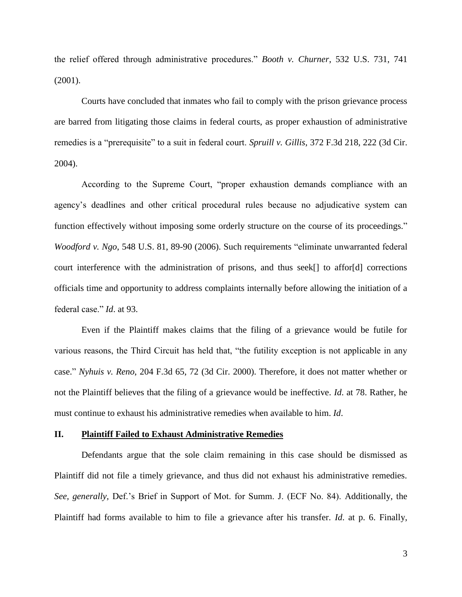the relief offered through administrative procedures." *Booth v. Churner*, 532 U.S. 731, 741 (2001).

Courts have concluded that inmates who fail to comply with the prison grievance process are barred from litigating those claims in federal courts, as proper exhaustion of administrative remedies is a "prerequisite" to a suit in federal court. *Spruill v. Gillis*, 372 F.3d 218, 222 (3d Cir. 2004).

According to the Supreme Court, "proper exhaustion demands compliance with an agency's deadlines and other critical procedural rules because no adjudicative system can function effectively without imposing some orderly structure on the course of its proceedings." *Woodford v. Ngo*, 548 U.S. 81, 89-90 (2006). Such requirements "eliminate unwarranted federal court interference with the administration of prisons, and thus seek[] to affor[d] corrections officials time and opportunity to address complaints internally before allowing the initiation of a federal case." *Id*. at 93.

Even if the Plaintiff makes claims that the filing of a grievance would be futile for various reasons, the Third Circuit has held that, "the futility exception is not applicable in any case." *Nyhuis v. Reno*, 204 F.3d 65, 72 (3d Cir. 2000). Therefore, it does not matter whether or not the Plaintiff believes that the filing of a grievance would be ineffective. *Id*. at 78. Rather, he must continue to exhaust his administrative remedies when available to him. *Id*.

## **II. Plaintiff Failed to Exhaust Administrative Remedies**

Defendants argue that the sole claim remaining in this case should be dismissed as Plaintiff did not file a timely grievance, and thus did not exhaust his administrative remedies. *See, generally,* Def.'s Brief in Support of Mot. for Summ. J. (ECF No. 84). Additionally, the Plaintiff had forms available to him to file a grievance after his transfer. *Id*. at p. 6. Finally,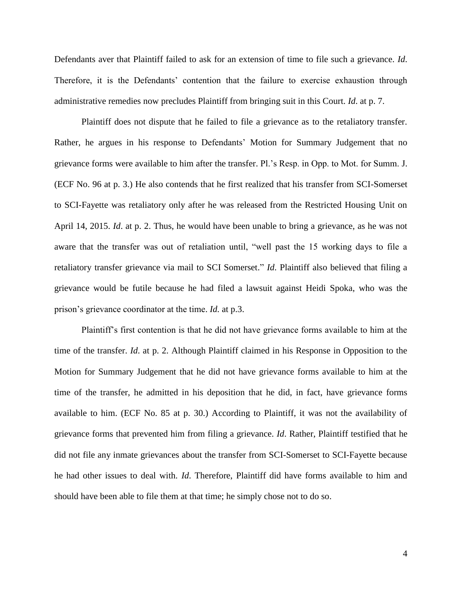Defendants aver that Plaintiff failed to ask for an extension of time to file such a grievance. *Id*. Therefore, it is the Defendants' contention that the failure to exercise exhaustion through administrative remedies now precludes Plaintiff from bringing suit in this Court. *Id*. at p. 7.

Plaintiff does not dispute that he failed to file a grievance as to the retaliatory transfer. Rather, he argues in his response to Defendants' Motion for Summary Judgement that no grievance forms were available to him after the transfer. Pl.'s Resp. in Opp. to Mot. for Summ. J. (ECF No. 96 at p. 3.) He also contends that he first realized that his transfer from SCI-Somerset to SCI-Fayette was retaliatory only after he was released from the Restricted Housing Unit on April 14, 2015. *Id*. at p. 2. Thus, he would have been unable to bring a grievance, as he was not aware that the transfer was out of retaliation until, "well past the 15 working days to file a retaliatory transfer grievance via mail to SCI Somerset." *Id*. Plaintiff also believed that filing a grievance would be futile because he had filed a lawsuit against Heidi Spoka, who was the prison's grievance coordinator at the time. *Id.* at p.3.

Plaintiff's first contention is that he did not have grievance forms available to him at the time of the transfer. *Id*. at p. 2. Although Plaintiff claimed in his Response in Opposition to the Motion for Summary Judgement that he did not have grievance forms available to him at the time of the transfer, he admitted in his deposition that he did, in fact, have grievance forms available to him. (ECF No. 85 at p. 30.) According to Plaintiff, it was not the availability of grievance forms that prevented him from filing a grievance. *Id*. Rather, Plaintiff testified that he did not file any inmate grievances about the transfer from SCI-Somerset to SCI-Fayette because he had other issues to deal with. *Id*. Therefore, Plaintiff did have forms available to him and should have been able to file them at that time; he simply chose not to do so.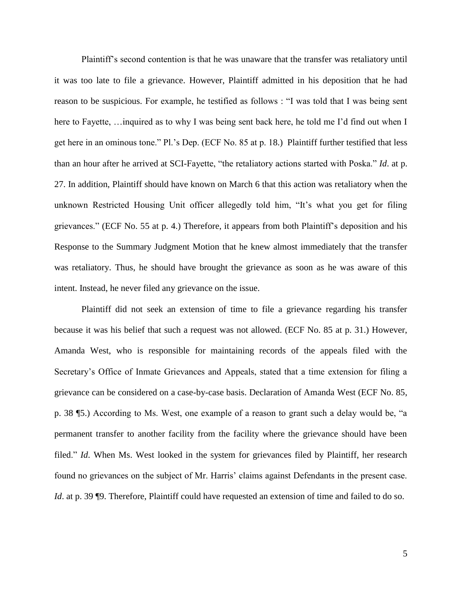Plaintiff's second contention is that he was unaware that the transfer was retaliatory until it was too late to file a grievance. However, Plaintiff admitted in his deposition that he had reason to be suspicious. For example, he testified as follows : "I was told that I was being sent here to Fayette, ... inquired as to why I was being sent back here, he told me I'd find out when I get here in an ominous tone." Pl.'s Dep. (ECF No. 85 at p. 18.) Plaintiff further testified that less than an hour after he arrived at SCI-Fayette, "the retaliatory actions started with Poska." *Id*. at p. 27. In addition, Plaintiff should have known on March 6 that this action was retaliatory when the unknown Restricted Housing Unit officer allegedly told him, "It's what you get for filing grievances." (ECF No. 55 at p. 4.) Therefore, it appears from both Plaintiff's deposition and his Response to the Summary Judgment Motion that he knew almost immediately that the transfer was retaliatory. Thus, he should have brought the grievance as soon as he was aware of this intent. Instead, he never filed any grievance on the issue.

Plaintiff did not seek an extension of time to file a grievance regarding his transfer because it was his belief that such a request was not allowed. (ECF No. 85 at p. 31.) However, Amanda West, who is responsible for maintaining records of the appeals filed with the Secretary's Office of Inmate Grievances and Appeals, stated that a time extension for filing a grievance can be considered on a case-by-case basis. Declaration of Amanda West (ECF No. 85, p. 38 ¶5.) According to Ms. West, one example of a reason to grant such a delay would be, "a permanent transfer to another facility from the facility where the grievance should have been filed." *Id*. When Ms. West looked in the system for grievances filed by Plaintiff, her research found no grievances on the subject of Mr. Harris' claims against Defendants in the present case. *Id.* at p. 39 ¶9. Therefore, Plaintiff could have requested an extension of time and failed to do so.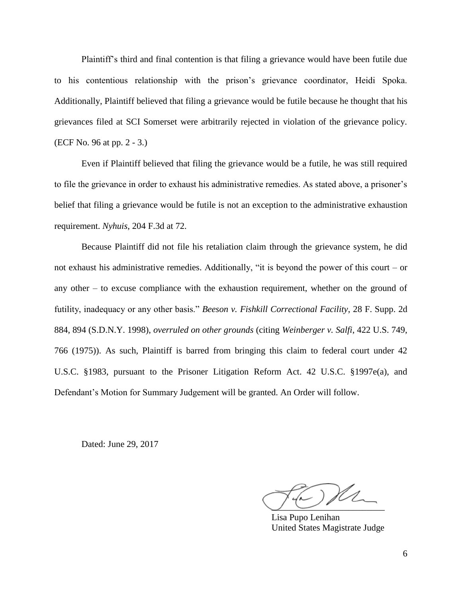Plaintiff's third and final contention is that filing a grievance would have been futile due to his contentious relationship with the prison's grievance coordinator, Heidi Spoka. Additionally, Plaintiff believed that filing a grievance would be futile because he thought that his grievances filed at SCI Somerset were arbitrarily rejected in violation of the grievance policy. (ECF No. 96 at pp. 2 - 3.)

Even if Plaintiff believed that filing the grievance would be a futile, he was still required to file the grievance in order to exhaust his administrative remedies. As stated above, a prisoner's belief that filing a grievance would be futile is not an exception to the administrative exhaustion requirement. *Nyhuis*, 204 F.3d at 72.

Because Plaintiff did not file his retaliation claim through the grievance system, he did not exhaust his administrative remedies. Additionally, "it is beyond the power of this court – or any other – to excuse compliance with the exhaustion requirement, whether on the ground of futility, inadequacy or any other basis." *Beeson v. Fishkill Correctional Facility*, 28 F. Supp. 2d 884, 894 (S.D.N.Y. 1998), *overruled on other grounds* (citing *Weinberger v. Salfi*, 422 U.S. 749, 766 (1975)). As such, Plaintiff is barred from bringing this claim to federal court under 42 U.S.C. §1983, pursuant to the Prisoner Litigation Reform Act. 42 U.S.C. §1997e(a), and Defendant's Motion for Summary Judgement will be granted. An Order will follow.

Dated: June 29, 2017

 $\cup$   $\cup$   $\cdot$   $\cdot$   $\cdot$ 

Lisa Pupo Lenihan United States Magistrate Judge